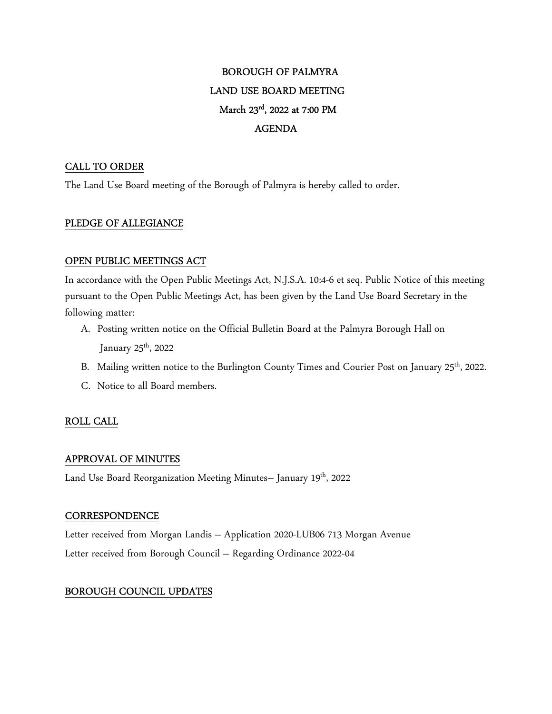# BOROUGH OF PALMYRA LAND USE BOARD MEETING March 23rd, 2022 at 7:00 PM AGENDA

# CALL TO ORDER

The Land Use Board meeting of the Borough of Palmyra is hereby called to order.

# PLEDGE OF ALLEGIANCE

## OPEN PUBLIC MEETINGS ACT

In accordance with the Open Public Meetings Act, N.J.S.A. 10:4-6 et seq. Public Notice of this meeting pursuant to the Open Public Meetings Act, has been given by the Land Use Board Secretary in the following matter:

- A. Posting written notice on the Official Bulletin Board at the Palmyra Borough Hall on January  $25<sup>th</sup>$ , 2022
- B. Mailing written notice to the Burlington County Times and Courier Post on January 25<sup>th</sup>, 2022.
- C. Notice to all Board members.

# ROLL CALL

# APPROVAL OF MINUTES

Land Use Board Reorganization Meeting Minutes- January 19<sup>th</sup>, 2022

#### **CORRESPONDENCE**

Letter received from Morgan Landis – Application 2020-LUB06 713 Morgan Avenue Letter received from Borough Council – Regarding Ordinance 2022-04

# BOROUGH COUNCIL UPDATES